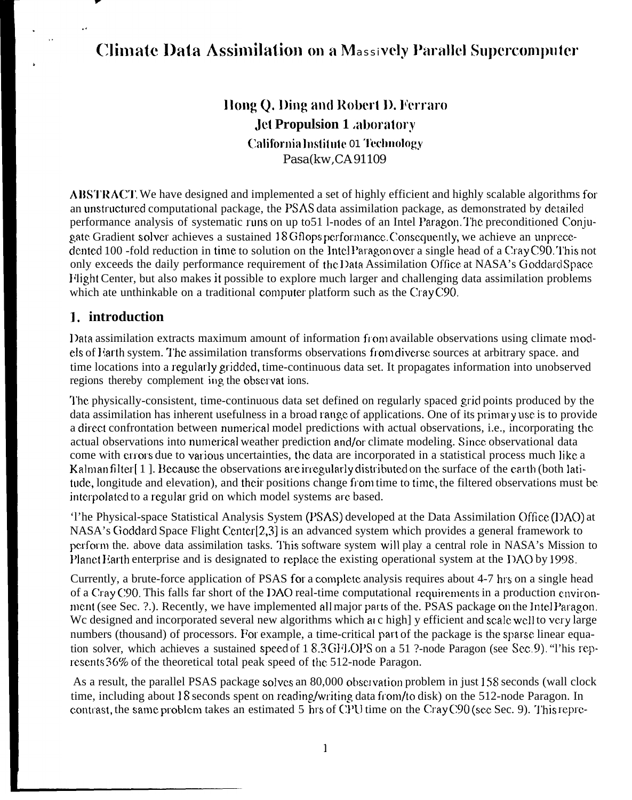# **Climate Data Assimilation on a Massively Parallel Supercomputer**

Hong Q. Ding and Robert D. Ferraro **Jet Propulsion 1 aboratory** California Institute 01 Technology Pasa(kw,CA91109

**ABSTRACT**. We have designed and implemented a set of highly efficient and highly scalable algorithms for an unstructured computational package, the PSAS data assimilation package, as demonstrated by detailed performance analysis of systematic runs on up to 51 l-nodes of an Intel Paragon. The preconditioned Conjugate Gradient solver achieves a sustained 18 Gflops performance. Consequently, we achieve an unprecedented 100 -fold reduction in time to solution on the Intel Paragonover a single head of a CrayC90. This not only exceeds the daily performance requirement of the Data Assimilation Office at NASA's Goddard Space Flight Center, but also makes it possible to explore much larger and challenging data assimilation problems which ate unthinkable on a traditional computer platform such as the CrayC90.

#### 1. introduction

Data assimilation extracts maximum amount of information from available observations using climate models of Farth system. The assimilation transforms observations from diverse sources at arbitrary space, and time locations into a regularly gridded, time-continuous data set. It propagates information into unobserved regions thereby complement ing the observat ions.

The physically-consistent, time-continuous data set defined on regularly spaced grid points produced by the data assimilation has inherent usefulness in a broad range of applications. One of its primary use is to provide a direct confrontation between numerical model predictions with actual observations, i.e., incorporating the actual observations into numerical weather prediction and/or climate modeling. Since observational data come with errors due to various uncertainties, the data are incorporated in a statistical process much like a Kalman filter [1]. Because the observations are irregularly distributed on the surface of the earth (both latitude, longitude and elevation), and their positions change from time to time, the filtered observations must be interpolated to a regular grid on which model systems are based.

The Physical-space Statistical Analysis System (PSAS) developed at the Data Assimilation Office (DAO) at NASA's Goddard Space Flight Center[2,3] is an advanced system which provides a general framework to perform the. above data assimilation tasks. This software system will play a central role in NASA's Mission to Planet Earth enterprise and is designated to replace the existing operational system at the DAO by 1998.

Currently, a brute-force application of PSAS for a complete analysis requires about 4-7 hrs on a single head of a Cray C90. This falls far short of the DAO real-time computational requirements in a production environment (see Sec. ?.). Recently, we have implemented all major parts of the. PSAS package on the Intel Paragon. We designed and incorporated several new algorithms which at c high] y efficient and scale well to very large numbers (thousand) of processors. For example, a time-critical part of the package is the sparse linear equation solver, which achieves a sustained speed of 18.3GFLOPS on a 51 ?-node Paragon (see Sec. 9). "This represents 36% of the theoretical total peak speed of the 512-node Paragon.

As a result, the parallel PSAS package solves an 80,000 observation problem in just 158 seconds (wall clock time, including about 18 seconds spent on reading/writing data from/to disk) on the 512-node Paragon. In contrast, the same problem takes an estimated 5 hrs of CPU time on the Cray C90 (see Sec. 9). This repre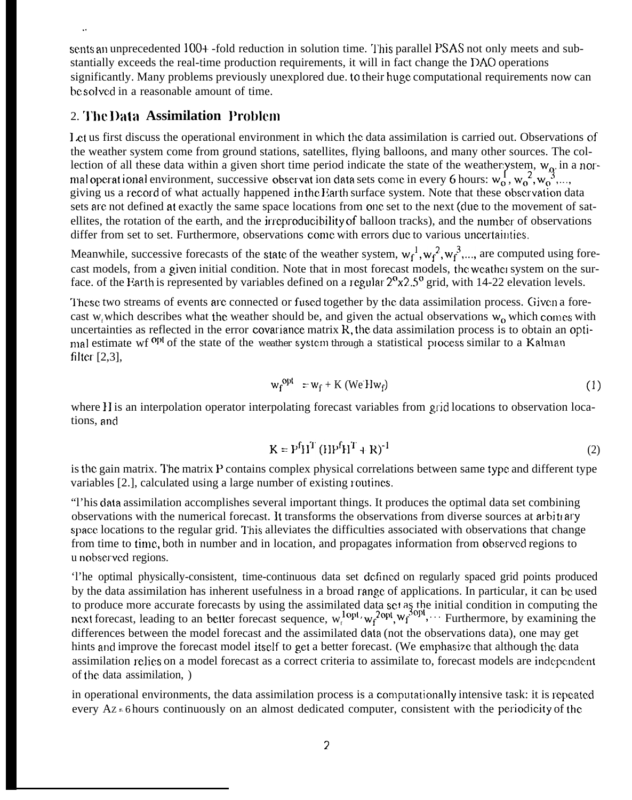sents an unprecedented 100+-fold reduction in solution time. This parallel PSAS not only meets and substantially exceeds the real-time production requirements, it will in fact change the DAO operations significantly. Many problems previously unexplored due, to their huge computational requirements now can bc solved in a reasonable amount of time.

### 2. '1'k IkIIa **Assimilation Problcm**

1,ct us first discuss the operational environment in which the data assimilation is carried out. Observations of the weather system come from ground stations, satellites, flying balloons, and many other sources. The collection of all these data within a given short time period indicate the state of the weather ystem,  $w_0$  in a norection of all these data within a given short time period indicate the state of the weatherly stem,  $w_0$  in<br>mal operat ional environment, successive observat ion data sets come in every 6 hours:  $w_0^{\{1\}}$ ,  $w_0^{\{2\}}$ , giving us a record of what actually happened in the Earth surface system. Note that these observation data sets are not defined at exactly the same space locations from one set to the next (due to the movement of satellites, the rotation of the earth, and the irreproducibility of balloon tracks), and the number of observations differ from set to set. Furthermore, observations come with errors due to various uncertainties.

Meanwhile, successive forecasts of the state of the weather system,  $w_f^1, w_f^2, w_f^3, \dots$ , are computed using forecast models, from a given initial condition. Note that in most forecast models, the weathel system on the surface. of the Earth is represented by variables defined on a regular  $2^{\circ}x2.5^{\circ}$  grid, with 14-22 elevation levels.

These two streams of events are connected or fused together by the data assimilation process. Given a forecast w<sub>r</sub> which describes what the weather should be, and given the actual observations w<sub>o</sub> which comes with uncertainties as reflected in the error covariance matrix  $R$ , the data assimilation process is to obtain an optimal estimate wf <sup>opt</sup> of the state of the weather system through a statistical process similar to a Kalman filter [2,3],

$$
w_f^{opt} = w_f + K (WeHw_f)
$$
 (1)

where H is an interpolation operator interpolating forecast variables from grid locations to observation locations, and

$$
K = PfHT (HPfHT + R)-1
$$
 (2)

is the gain matrix. The matrix P contains complex physical correlations between same type and different type variables [2.], calculated using a large number of existing routines.

"I'his data assimilation accomplishes several important things. It produces the optimal data set combining observations with the numerical forecast. It transforms the observations from diverse sources at arbitiary space locations to the regular grid. This alleviates the difficulties associated with observations that change from time to time, both in number and in location, and propagates information from obscrvecl regions to u nobserved regions.

'l'he optimal physically-consistent, time-continuous data set dcfimd on regularly spaced grid points produced by the data assimilation has inherent usefulness in a broad range of applications. In particular, it can be used to produce more accurate forecasts by using the assimilated data set as the initial condition in computing the next forecast, leading to an better forecast sequence,  $w_f^{1}$ <sup>opt</sup>,  $w_f^{2}$ <sup>opt</sup>,  $w_f^{3}$ <sup>opt</sup>,  $\cdots$  Furthermore, by examining the differences between the model forecast and the assimilated data (not the observations data), one may get hints and improve the forecast model itself to get a better forecast. (We emphasize that although the data assimilation relies on a model forecast as a correct criteria to assimilate to, forecast models are independent of the data assimilation, )

in operational environments, the data assimilation process is a computationally intensive task: it is repeated every  $Az = 6$  hours continuously on an almost dedicated computer, consistent with the periodicity of the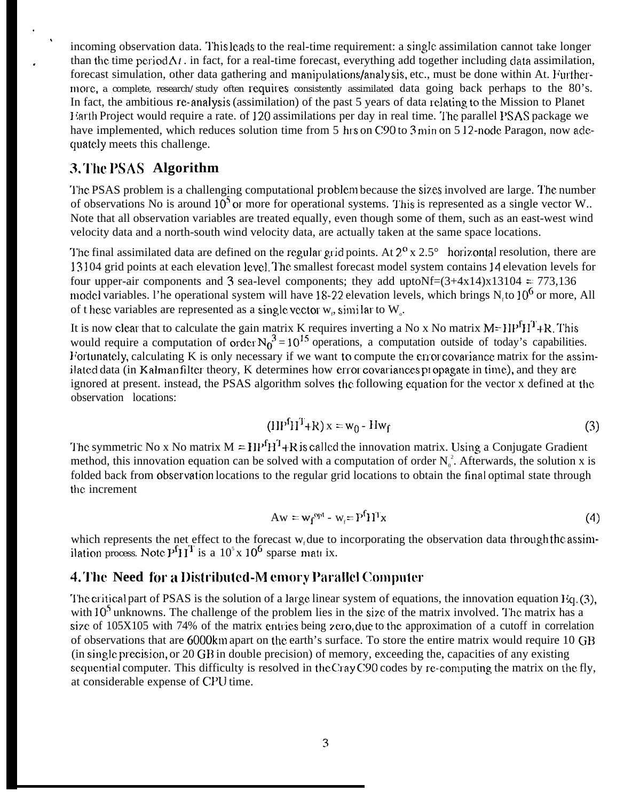incoming observation data. This leads to the real-time requirement: a single assimilation cannot take longer than the time period  $\Delta t$ . in fact, for a real-time forecast, everything add together including data assimilation, forecast simulation, other data gathering and manipulations/analy sis, etc., must be done within At. Furthermore, a complete, research/study often requires consistently assimilated data going back perhaps to the 80's. In fact, the ambitious re-analysis (assimilation) of the past 5 years of data relating to the Mission to Planet <sup>1</sup> ;arth Project would require a rate. of 120 assimilations per day in real time. '1'he parallel I'SAS package we have implemented, which reduces solution time from 5 hrs on C90 to 3 min on 5 12-node Paragon, now adequately meets this challenge.

### **3. The PSAS Algorithm**

The PSAS problem is a challenging computational problem because the sizes involved are large. The number of observations No is around  $10<sup>5</sup>$  or more for operational systems. This is represented as a single vector W.. Note that all observation variables are treated equally, even though some of them, such as an east-west wind velocity data and a north-south wind velocity data, are actually taken at the same space locations.

The final assimilated data are defined on the regular grid points. At  $2^{\circ}$  x  $2.5^{\circ}$  horizontal resolution, there are 13104 grid points at each elevation level. The smallest forecast model system contains 14 elevation levels for four upper-air components and 3 sea-level components; they add uptoNf= $(3+4x14)x13104 = 773,136$ model variables. l'he operational system will have 18-22 elevation levels, which brings  $N<sub>r</sub>$  to 10<sup>6</sup> or more, All of t hese variables are represented as a single vector  $w_p$ , similar to  $W_q$ .

It is now clear that to calculate the gain matrix K requires inverting a No x No matrix  $M=HP^I H^I+R$ . This would require a computation of order  $N_0^3 = 10^{15}$  operations, a computation outside of today's capabilities. Fortunately, calculating K is only necessary if we want to compute the error covariance matrix for the assimilated data (in Kalman filter theory, K determines how error covariances propagate in time), and they are ignored at present. instead, the PSAS algorithm solves the following equation for the vector x defined at the. observation locations:

$$
(\text{HP}^f \text{H}^T + \text{R}) \times = \text{W}_0 - \text{Hw}_f \tag{3}
$$

The symmetric No x No matrix  $M = H P^f H^T + R$  is called the innovation matrix. Using a Conjugate Gradient method, this innovation equation can be solved with a computation of order  $N_0^2$ . Afterwards, the solution x is folded back from observation locations to the regular grid locations to obtain the final optimal state through the increment

$$
Aw = w_f^{opt} - w_f = P^f H^T x \tag{4}
$$

which represents the net effect to the forecast  $w_i$  due to incorporating the observation data through the assimilation process. Note  $P<sup>f</sup>H<sup>T</sup>$  is a 10<sup>5</sup> x 10<sup>6</sup> sparse matrix.

### 4. 'J'I]c **Need fbr a l)ist["il}titc(l-h4 c[]](]l"y P;tralld CompuIcr**

The critical part of PSAS is the solution of a large linear system of equations, the innovation equation  $Eq. (3)$ , with  $10<sup>5</sup>$  unknowns. The challenge of the problem lies in the size of the matrix involved. The matrix has a size of  $105X105$  with 74% of the matrix entries being zero, due to the approximation of a cutoff in correlation of observations that are 6000km apart on the earth's surface. To store the entire matrix would require 10 GB  $(in single precision, or 20 GB in double precision)$  of memory, exceeding the, capacities of any existing sequential computer. This difficulty is resolved in the Cray C90 codes by re-computing the matrix on the fly, at considerable expense of CPIJ time.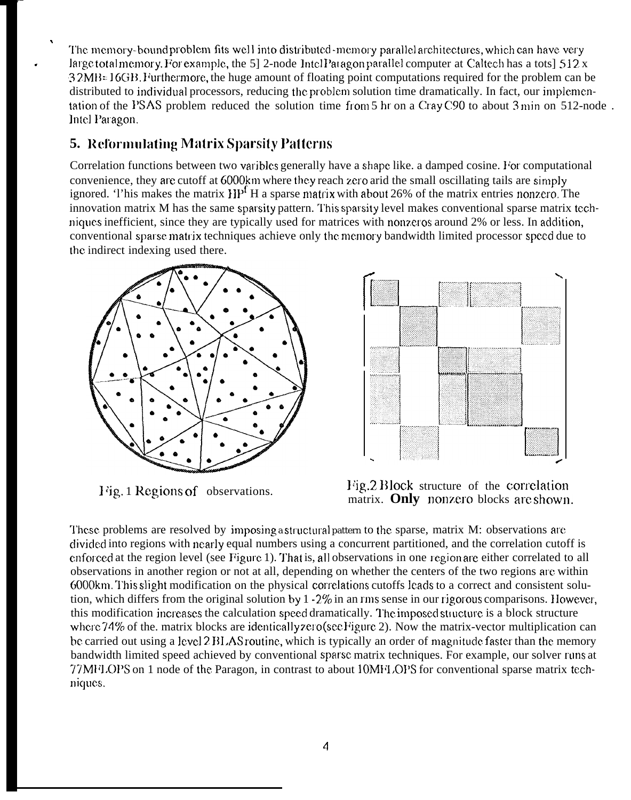The memory-bound problem fits well into distributed -memory parallel architectures, which can have very large total memory. For example, the 5] 2-node 1 ntel Paragon parallel computer at Caltech has a tots]  $512 \text{ x}$ 32MB=16GB. Furthermore, the huge amount of floating point computations required for the problem can be distributed to individual processors, reducing the problem solution time dramatically. In fact, our implementation of the PSAS problem reduced the solution time from 5 hr on a Cray C90 to about  $3 \text{ min}$  on  $512$ -node. Intel Paragon.

# **5. Reformulating Matrix Sparsity Patterns**

,

.

Correlation functions between two varibles generally have a shape like. a damped cosine. For computational convenience, they are cutoff at 6000km where they reach zero arid the small oscillating tails are simply ignored. This makes the matrix  $HP<sup>f</sup>$  H a sparse matrix with about 26% of the matrix entries nonzero. The innovation matrix M has the same sparsity pattern. This sparsity level makes conventional sparse matrix techniques inefficient, since they are typically used for matrices with nonzeros around  $2\%$  or less. In addition, conventional sparse matrix techniques achieve only the memory bandwidth limited processor speed due to the indirect indexing used there.





1/ig. 1 Regions of observations. <sup>1/ig.2</sup> Block structure of the correlation matrix. Only nonzero blocks are shown.

These problems are resolved by imposing a structural pattern to the sparse, matrix M: observations are clivictcd into regions with nearly equal numbers using a concurrent partitioned, and the correlation cutoff is enforced at the region level (see Figure 1). That is, all observations in one region are either correlated to all observations in another region or not at all, depending on whether the centers of the two regions are within 6000knl. I'his slight modification on the physical correlaticms cutoffs leads to a correct and consistent solution, which differs from the original solution by  $1 \cdot 2\%$  in an rms sense in our rigorous comparisons. However, this modification increases the calculation speed dramatically. The imposed structure is a block structure where 74% of the. matrix blocks are identically *zero* (see Figure 2). Now the matrix-vector multiplication can be carried out using a level 2 BLAS routine, which is typically an order of magnitude faster than the memory bandwidth limited speed achieved by conventional spatsc matrix techniques. For example, our solver runs at 77MHLOPS on 1 node of the Paragon, in contrast to about 10MHLOPS for conventional sparse matrix techniques.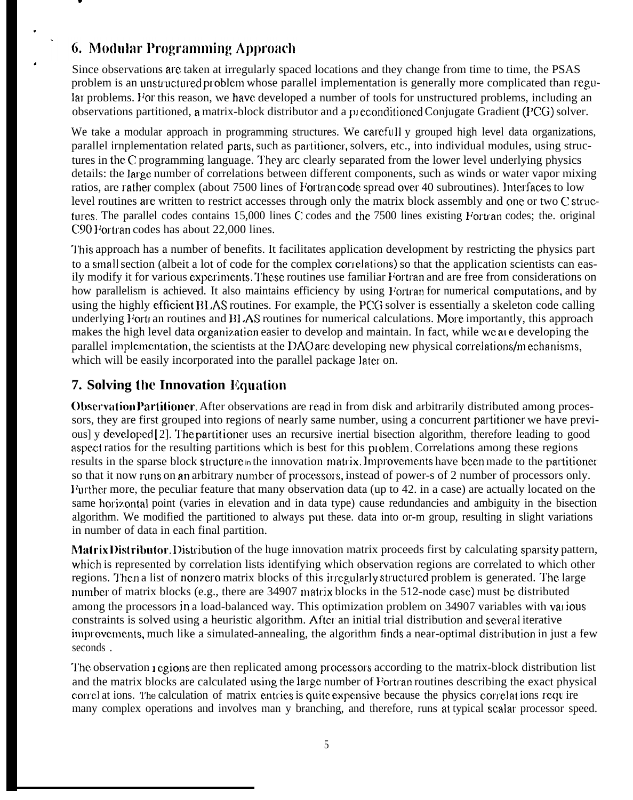# 6. Modular Programming Approach

.

.

.

Since observations arc taken at irregularly spaced locations and they change from time to time, the PSAS problem is an unstructured problem whose parallel implementation is generally more complicated than regular problems. For this reason, we have developed a number of tools for unstructured problems, including an observations partitioned, a matrix-block distributor and a preconditioned Conjugate Gradient (PCG) solver.

We take a modular approach in programming structures. We carefull y grouped high level data organizations, parallel irnplementation related parts, such as partitioncr, solvers, etc., into individual modules, using structures in the C programming language. They arc clearly separated from the lower level underlying physics details: the large number of correlations between different components, such as winds or water vapor mixing ratios, are rather complex (about 7500 lines of Fortran code spread over 40 subroutines). Interfaces to low level routines are written to restrict accesses through only the matrix block assembly and one or two C structures. The parallel codes contains 15,000 lines C codes and the 7500 lines existing Fortran codes; the. original C90 Fortran codes has about 22,000 lines.

'1'his approach has a number of benefits. It facilitates application development by restricting the physics part to a small section (albeit a lot of code for the complex correlations) so that the application scientists can easily modify it for various experiments. These routines use familiar Fortran and are free from considerations on how parallelism is achieved. It also maintains efficiency by using Fortran for numerical computations, and by using the highly efficient BLAS routines. For example, the PCG solver is essentially a skeleton code calling underlying Fort an routines and BLAS routines for numerical calculations. More importantly, this approach makes the high level data organization easier to develop and maintain. In fact, while we at a developing the parallel implementation, the scientists at the DAO arc developing new physical correlations/mechanisms, which will be easily incorporated into the parallel package later on.

## **7. Solving the Innovation Equation**

**Observation Partitioner.** After observations are read in from disk and arbitrarily distributed among processors, they are first grouped into regions of nearly same number, using a concurrent partitioner we have previous] y developed [2]. The partitioner uses an recursive inertial bisection algorithm, therefore leading to good aspect ratios for the resulting partitions which is best for this problem. Correlations among these regions results in the sparse block structure in the innovation matrix. Improvements have been made to the partitioner so that it now runs on an arbitrary number of processors, instead of power-s of 2 number of processors only. Further more, the peculiar feature that many observation data (up to 42. in a case) are actually located on the same horizontal point (varies in elevation and in data type) cause redundancies and ambiguity in the bisection algorithm. We modified the partitioned to always put these. data into or-m group, resulting in slight variations in number of data in each final partition.

Matrix Distributor. Distribution of the huge innovation matrix proceeds first by calculating sparsity pattern, which is represented by correlation lists identifying which observation regions are correlated to which other regions. Then a list of nonzero matrix blocks of this irregularly structured problem is generated. The large number of matrix blocks (e.g., there are 34907 matrix blocks in the 512-node case) must be distributed among the processors in a load-balanced way. This optimization problem on 34907 variables with vat ious constraints is solved using a heuristic algorithm. After an initial trial distribution and several iterative improvements, much like a simulated-annealing, the algorithm finds a near-optimal distribution in just a few seconds .

The observation regions are then replicated among processors according to the matrix-block distribution list and the matrix blocks are calculated using the large number of Fortran routines describing the exact physical correl at ions. The calculation of matrix entries is quite expensive because the physics correlat ions require many complex operations and involves man y branching, and therefore, runs at typical scalar processor speed.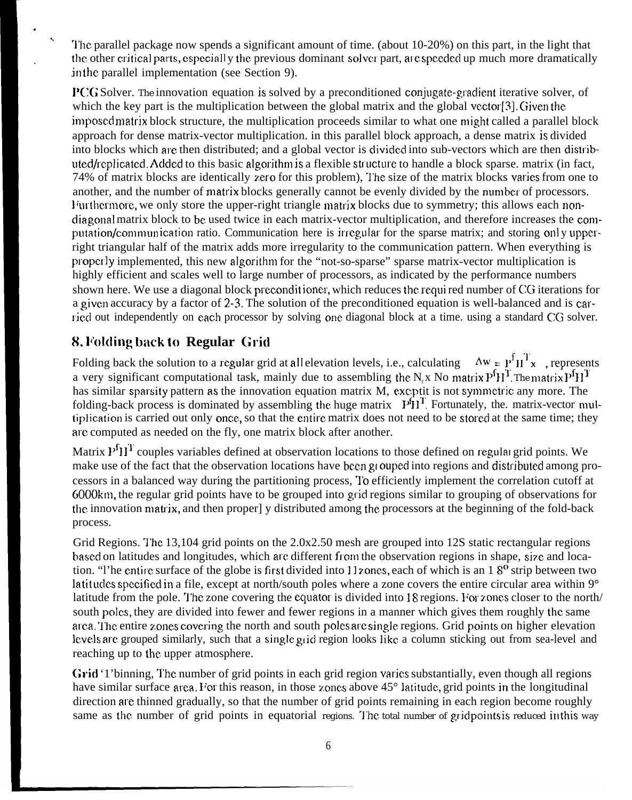'J'hc parallel package now spends a significant amount of time. (about 10-20%) on this part, in the light that the other critical parts, especiall y the previous dominant solver part, are speeded up much more dramatically in the parallel implementation (see Section 9).

**PCG** Solver. The innovation equation is solved by a preconditioned conjugate-gradient iterative solver, of which the key part is the multiplication between the global matrix and the global vector[3]. Given the imposed matrix block structure, the multiplication proceeds similar to what one might called a parallel block approach for dense matrix-vector multiplication. in this parallel block approach, a dense matrix is divided into blocks which are then distributed; and a global vector is divided into sub-vectors which are then distributed/replicated. Added to this basic algorithm is a flexible structure to handle a block sparse, matrix (in fact, 74% of matrix blocks are identically zero for this problem), The size of the matrix blocks varies from one to another, and the number of matrix blocks generally cannot be evenly divided by the number of processors. Furthermore, we only store the upper-right triangle matrix blocks due to symmetry; this allows each nondiagonal matrix block to be used twice in each matrix-vector multiplication, and therefore increases the computation/communication ratio. Communication here is irregular for the sparse matrix; and storing only upperright triangular half of the matrix adds more irregularity to the communication pattern. When everything is properly implemented, this new algorithm for the "not-so-sparse" sparse matrix-vector multiplication is highly efficient and scales well to large number of processors, as indicated by the performance numbers shown here. We use a diagonal block preconditioner, which reduces the requi red number of CG iterations for a given accuracy by a factor of 2-3. The solution of the preconditioned equation is well-balanced and is carried out independently on each processor by solving one diagonal block at a time. using a standard CG solver.

### 8. **Vhlding back to Regular Grid**

. .

.

Folding back the solution to a regular grid at all elevation levels, i.e., calculating  $\Delta w = P^f H^T x$ , represents a very significant computational task, mainly due to assembling the N<sub>x</sub> No matrix P<sup>f</sup>H<sup>T</sup>. The matrix P<sup>f</sup>H<sup>T</sup> has similar sparsity pattern as the innovation equation matrix M, exceptit is not symmetric any more. The nas similar sparsity pattern as the innovation equation matrix M, excptit is not symmetric any more. The<br>folding-back process is dominated by assembling the huge matrix P<sup>4</sup>H<sup>T</sup>. Fortunately, the. matrix-vector multiplication is carried out only once, so that the entire matrix does not need to be stored at the same time; they are computed as needed on the fly, one matrix block after another.

Matrix  $P^{f}H^{T}$  couples variables defined at observation locations to those defined on regular grid points. We make use of the fact that the observation locations have been grouped into regions and distributed among processors in a balanced way during the partitioning process, 1'o efficiently implement the correlation cutoff at 6000knl, the regular grid points have to be grouped into grjd regions similar to grouping of observations for the innovation matrix, and then proper] y distributed among the processors at the beginning of the fold-back process.

Grid Regions. The 13,104 grid points on the 2.0x2.50 mesh are grouped into 12S static rectangular regions based on latitudes and longitudes, which are different from the observation regions in shape, size and location. "I'he entire surface of the globe is first divided into 11 zones, each of which is an  $18^{\circ}$  strip between two latitudes specified in a file, except at north/south poles where a zone covers the entire circular area within  $9^\circ$ latitude from the pole. The zone covering the equator is divided into 18 regions. For zones closer to the north/ south poles, they are divided into fewer and fewer regions in a manner which gives them roughly the same area. The entire zones covering the north and south poles are single regions. Grid points on higher elevation levels are grouped similarly, such that a single grid region looks like a column sticking out from sea-level and reaching up to the upper atmosphere.

Grid '1'binning, The number of grid points in each grid region varies substantially, even though all regions have similar surface area. For this reason, in those zones above  $45^{\circ}$  latitude, grid points in the longitudinal direction are thinned gradually, so that the number of grid points remaining in each region become roughly same as the number of grid points in equatorial regions. The total number of grid points is reduced in this way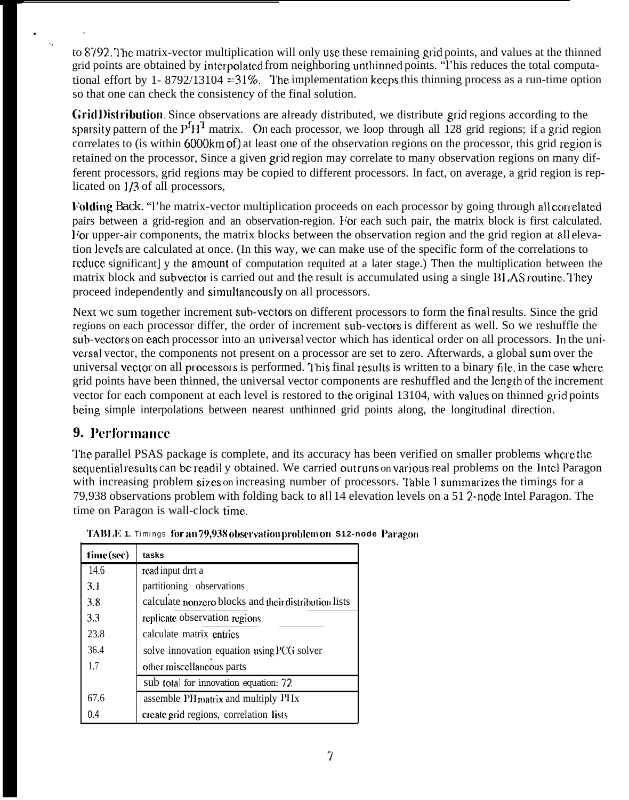to 8792. The matrix-vector multiplication will only use these remaining grid points, and values at the thinned grid points are obtained by interpolated from neighboring unthinned points. "I'his reduces the total computational effort by 1- 8792/13104 = 31%. The implementation keeps this thinning process as a run-time option so that one can check the consistency of the final solution.

Grid Distribution, Since observations are already distributed, we distribute grid regions according to the sparsity pattern of the  $P<sup>f</sup>H<sup>T</sup>$  matrix. On each processor, we loop through all 128 grid regions; if a grid region correlates to (is within 6000km of) at least one of the observation regions on the processor, this grid region is retained on the processor, Since a given grid region may correlate to many observation regions on many different processors, grid regions may be copied to different processors. In fact, on average, a grid region is replicated on 1/3 of all processors,

Folding Back. "I'he matrix-vector multiplication proceeds on each processor by going through all correlated pairs between a grid-region and an observation-region. For each such pair, the matrix block is first calculated. I/or upper-air components, the matrix blocks between the observation region and the grid region at all elevation levels are calculated at once. (In this way, we can make use of the specific form of the correlations to reduce significant] y the amount of computation requited at a later stage.) Then the multiplication between the matrix block and subvector is carried out and the result is accumulated using a single BLAS routine. They proceed independently and simultaneously on all processors.

Next wc sum together increment sub-vectors on different processors to form the final results. Since the grid regions on each processor differ, the order of increment sub-vectors is different as well. So we reshuffle the sub-vectors on each processor into an universal vector which has identical order on all processors. In the universal vector, the components not present on a processor are set to zero. Afterwards, a global sum over the universal vector on all processors is performed. This final results is written to a binary file, in the case where grid points have been thinned, the universal vector components are reshuffled and the length of the increment vector for each component at each level is restored to the original 13104, with values on thinned grid points being simple interpolations between nearest unthinned grid points along, the longitudinal direction.

# **9. Performance**

. . . .

> The parallel PSAS package is complete, and its accuracy has been verified on smaller problems where the sequential results can be readil y obtained. We carried outruns on various real problems on the Intel Paragon with increasing problem sizes on increasing number of processors. Table 1 summarizes the timings for a 79,938 observations problem with folding back to all 14 elevation levels on a 51 ?-node Intel Paragon. The time on Paragon is wall-clock time.

| time (see) | tasks                                                 |  |
|------------|-------------------------------------------------------|--|
| 14.6       | read input drrt a                                     |  |
| 3.1        | partitioning observations                             |  |
| 3.8        | calculate nonzero blocks and their distribution lists |  |
| 3.3        | replicate observation regions                         |  |
| 23.8       | calculate matrix entries                              |  |
| 36.4       | solve innovation equation using PCG solver            |  |
| 17         | other miscellaneous parts                             |  |
|            | sub total for innovation equation: 72                 |  |
| 67.6       | assemble PH matrix and multiply PH Ix                 |  |
| 0.4        | create grid regions, correlation lists                |  |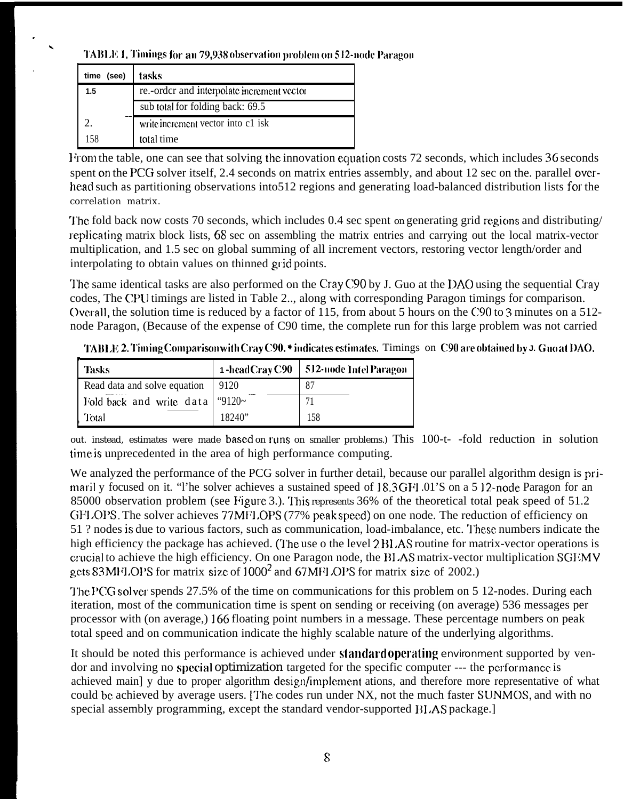TABLE 1. Timings for an 79,938 observation problem on 512-node Paragon

| time<br>(see) | tasks                                      |
|---------------|--------------------------------------------|
| 1.5           | re.-order and interpolate increment vector |
|               | sub total for folding back: 69.5           |
|               | write increment vector into c1 isk         |
| 158           | total time                                 |

From the table, one can see that solving the innovation equation costs 72 seconds, which includes 36 seconds spent on the PCG solver itself, 2.4 seconds on matrix entries assembly, and about 12 sec on the parallel overhead such as partitioning observations into 512 regions and generating load-balanced distribution lists for the correlation matrix.

The fold back now costs 70 seconds, which includes 0.4 sec spent on generating grid regions and distributing/ replicating matrix block lists, 68 sec on assembling the matrix entries and carrying out the local matrix-vector multiplication, and 1.5 sec on global summing of all increment vectors, restoring vector length/order and interpolating to obtain values on thinned grid points.

The same identical tasks are also performed on the Cray C90 by J. Guo at the DAO using the sequential Cray codes. The CPU timings are listed in Table 2... along with corresponding Paragon timings for comparison. Overall, the solution time is reduced by a factor of 115, from about 5 hours on the C90 to 3 minutes on a 512node Paragon, (Because of the expense of C90 time, the complete run for this large problem was not carried

TABLE 2. Timing Comparison with Cray C90. \* indicates estimates. Timings on C90 are obtained by J. Guo at DAO.

| Tasks                                    | 1-headCrayC90 | 512-node Intel Paragon |
|------------------------------------------|---------------|------------------------|
| Read data and solve equation             | 9120          | 87                     |
| Fold back and write data $\degree$ 9120~ |               | 71                     |
| Total                                    | 18240"        | 158                    |

out. instead, estimates were made based on runs on smaller problems.) This 100-t- -fold reduction in solution time is unprecedented in the area of high performance computing.

We analyzed the performance of the PCG solver in further detail, because our parallel algorithm design is primaril y focused on it. "I'he solver achieves a sustained speed of 18.3GFI.01'S on a 512-node Paragon for an 85000 observation problem (see Figure 3.). This represents 36% of the theoretical total peak speed of 51.2 GFLOPS. The solver achieves 77MFLOPS (77% peak speed) on one node. The reduction of efficiency on 51 ? nodes is due to various factors, such as communication, load-imbalance, etc. These numbers indicate the high efficiency the package has achieved. (The use o the level 2 BLAS routine for matrix-vector operations is crucial to achieve the high efficiency. On one Paragon node, the BLAS matrix-vector multiplication SGEMV gets 83 MFLOPS for matrix size of 1000<sup>2</sup> and 67 MFLOPS for matrix size of 2002.)

The PCG solver spends 27.5% of the time on communications for this problem on 5 12-nodes. During each iteration, most of the communication time is spent on sending or receiving (on average) 536 messages per processor with (on average,) 166 floating point numbers in a message. These percentage numbers on peak total speed and on communication indicate the highly scalable nature of the underlying algorithms.

It should be noted this performance is achieved under standard operating environment supported by vendor and involving no special optimization targeted for the specific computer --- the performance is achieved main) y due to proper algorithm design/implement ations, and therefore more representative of what could be achieved by average users. The codes run under NX, not the much faster SUNMOS, and with no special assembly programming, except the standard vendor-supported BLAS package.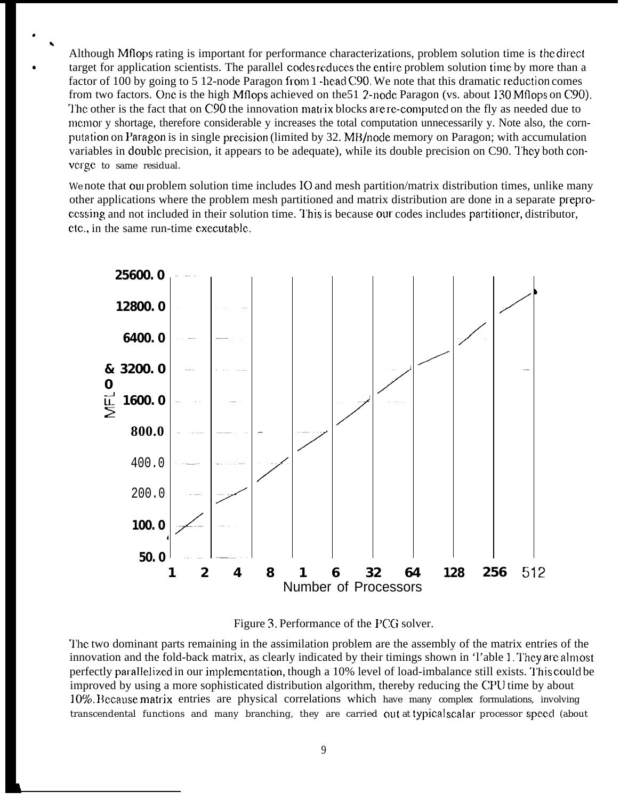Although Mflops rating is important for performance characterizations, problem solution time is the direct target for application scientists. The parallel codes reduces the entire problem solution time by more than a factor of 100 by going to 5 12-node Paragon from 1 -head C90. We note that this dramatic reduction comes from two factors. One is the high Mflops achieved on the 51 2-node Paragon (vs. about 130 Mflops on C90). The other is the fact that on C90 the innovation matrix blocks are re-computed on the fly as needed due to memor y shortage, therefore considerable y increases the total computation unnecessarily y. Note also, the cornputation on Paragon is in single precision (limited by 32. MB/node memory on Paragon; with accumulation variables in double precision, it appears to be adequate), while its double precision on C90. They both converge to same residual.

We note that our problem solution time includes IO and mesh partition/matrix distribution times, unlike many other applications where the problem mesh partitioned and matrix distribution are done in a separate preprocessing and not included in their solution time. This is because our codes includes partitioner, distributor, etc., in the same run-time executable.



Figure 3. Performance of the PCG solver.

The two dominant parts remaining in the assimilation problem are the assembly of the matrix entries of the innovation and the fold-back matrix, as clearly indicated by their timings shown in 'l'able 1. They are almost perfectly parallelized in our implementation, though a 10% level of load-imbalance still exists. This could be improved by using a more sophisticated distribution algorithm, thereby reducing the CPU time by about 10%. Because matrix entries are physical correlations which have many complex formulations, involving transcendental functions and many branching, they are carried out at typical scalar processor speed (about